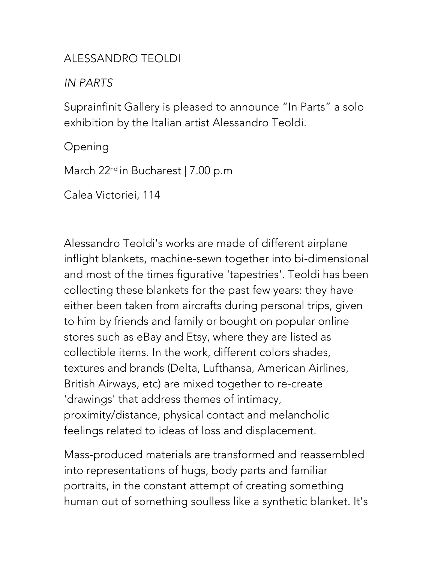## ALESSANDRO TEOLDI

## *IN PARTS*

Suprainfinit Gallery is pleased to announce "In Parts" a solo exhibition by the Italian artist Alessandro Teoldi.

Opening

March 22<sup>nd</sup> in Bucharest | 7.00 p.m

Calea Victoriei, 114

Alessandro Teoldi's works are made of different airplane inflight blankets, machine-sewn together into bi-dimensional and most of the times figurative 'tapestries'. Teoldi has been collecting these blankets for the past few years: they have either been taken from aircrafts during personal trips, given to him by friends and family or bought on popular online stores such as eBay and Etsy, where they are listed as collectible items. In the work, different colors shades, textures and brands (Delta, Lufthansa, American Airlines, British Airways, etc) are mixed together to re-create 'drawings' that address themes of intimacy, proximity/distance, physical contact and melancholic feelings related to ideas of loss and displacement.

Mass-produced materials are transformed and reassembled into representations of hugs, body parts and familiar portraits, in the constant attempt of creating something human out of something soulless like a synthetic blanket. It's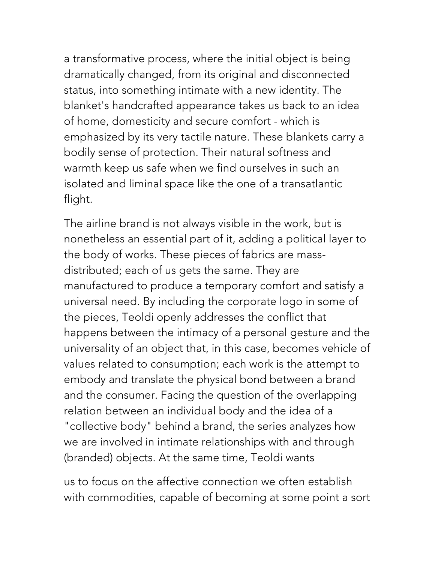a transformative process, where the initial object is being dramatically changed, from its original and disconnected status, into something intimate with a new identity. The blanket's handcrafted appearance takes us back to an idea of home, domesticity and secure comfort - which is emphasized by its very tactile nature. These blankets carry a bodily sense of protection. Their natural softness and warmth keep us safe when we find ourselves in such an isolated and liminal space like the one of a transatlantic flight.

The airline brand is not always visible in the work, but is nonetheless an essential part of it, adding a political layer to the body of works. These pieces of fabrics are massdistributed; each of us gets the same. They are manufactured to produce a temporary comfort and satisfy a universal need. By including the corporate logo in some of the pieces, Teoldi openly addresses the conflict that happens between the intimacy of a personal gesture and the universality of an object that, in this case, becomes vehicle of values related to consumption; each work is the attempt to embody and translate the physical bond between a brand and the consumer. Facing the question of the overlapping relation between an individual body and the idea of a "collective body" behind a brand, the series analyzes how we are involved in intimate relationships with and through (branded) objects. At the same time, Teoldi wants

us to focus on the affective connection we often establish with commodities, capable of becoming at some point a sort